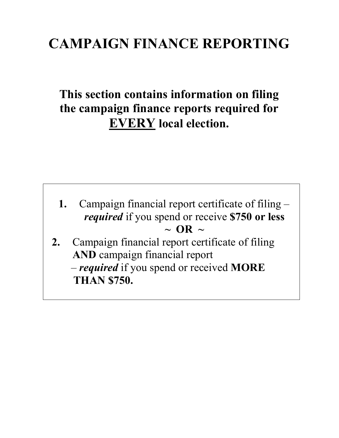## **CAMPAIGN FINANCE REPORTING**

## **This section contains information on filing the campaign finance reports required for EVERY local election.**

- **1.** Campaign financial report certificate of filing *required* if you spend or receive **\$750 or less**   $\sim$  OR  $\sim$
- **2.** Campaign financial report certificate of filing **AND** campaign financial report – *required* if you spend or received **MORE THAN \$750.**